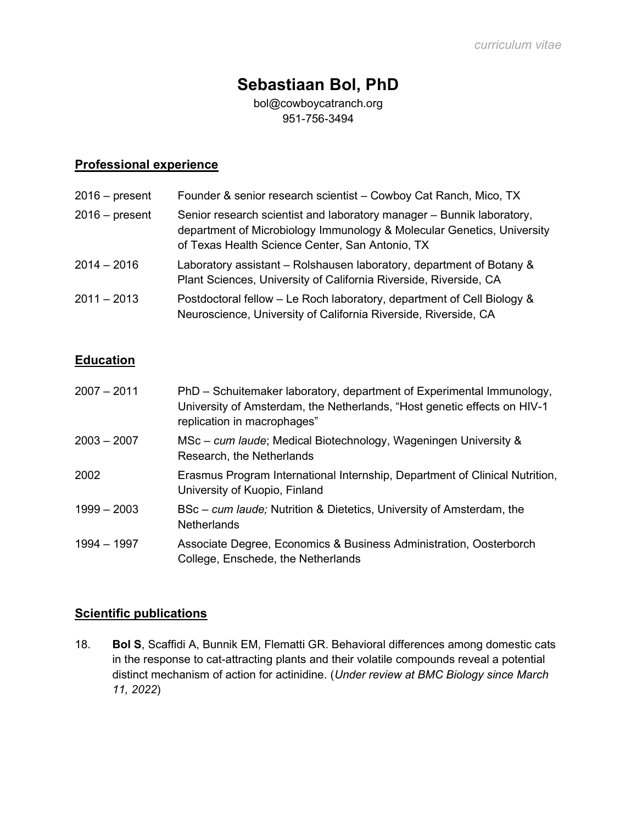# Sebastiaan Bol, PhD

bol@cowboycatranch.org 951-756-3494

# Professional experience

| $2016 - present$ | Founder & senior research scientist – Cowboy Cat Ranch, Mico, TX                                                                                                                                   |
|------------------|----------------------------------------------------------------------------------------------------------------------------------------------------------------------------------------------------|
| $2016$ – present | Senior research scientist and laboratory manager - Bunnik laboratory,<br>department of Microbiology Immunology & Molecular Genetics, University<br>of Texas Health Science Center, San Antonio, TX |
| $2014 - 2016$    | Laboratory assistant – Rolshausen laboratory, department of Botany &<br>Plant Sciences, University of California Riverside, Riverside, CA                                                          |
| $2011 - 2013$    | Postdoctoral fellow – Le Roch laboratory, department of Cell Biology &<br>Neuroscience, University of California Riverside, Riverside, CA                                                          |

## Education

| $2007 - 2011$ | PhD – Schuitemaker laboratory, department of Experimental Immunology,<br>University of Amsterdam, the Netherlands, "Host genetic effects on HIV-1<br>replication in macrophages" |
|---------------|----------------------------------------------------------------------------------------------------------------------------------------------------------------------------------|
| $2003 - 2007$ | MSc – cum laude; Medical Biotechnology, Wageningen University &<br>Research, the Netherlands                                                                                     |
| 2002          | Erasmus Program International Internship, Department of Clinical Nutrition,<br>University of Kuopio, Finland                                                                     |
| $1999 - 2003$ | BSc – cum laude; Nutrition & Dietetics, University of Amsterdam, the<br><b>Netherlands</b>                                                                                       |
| 1994 - 1997   | Associate Degree, Economics & Business Administration, Oosterborch<br>College, Enschede, the Netherlands                                                                         |

#### Scientific publications

18. Bol S, Scaffidi A, Bunnik EM, Flematti GR. Behavioral differences among domestic cats in the response to cat-attracting plants and their volatile compounds reveal a potential distinct mechanism of action for actinidine. (Under review at BMC Biology since March 11, 2022)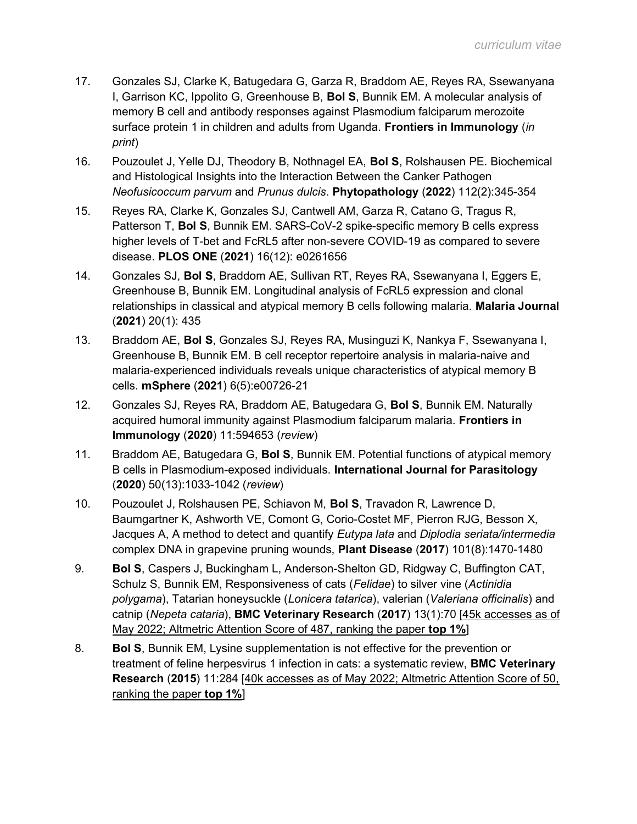- 17. Gonzales SJ, Clarke K, Batugedara G, Garza R, Braddom AE, Reyes RA, Ssewanyana I, Garrison KC, Ippolito G, Greenhouse B, Bol S, Bunnik EM. A molecular analysis of memory B cell and antibody responses against Plasmodium falciparum merozoite surface protein 1 in children and adults from Uganda. Frontiers in Immunology (in print)
- 16. Pouzoulet J, Yelle DJ, Theodory B, Nothnagel EA, Bol S, Rolshausen PE. Biochemical and Histological Insights into the Interaction Between the Canker Pathogen Neofusicoccum parvum and Prunus dulcis. Phytopathology (2022) 112(2):345-354
- 15. Reyes RA, Clarke K, Gonzales SJ, Cantwell AM, Garza R, Catano G, Tragus R, Patterson T, **Bol S**, Bunnik EM. SARS-CoV-2 spike-specific memory B cells express higher levels of T-bet and FcRL5 after non-severe COVID-19 as compared to severe disease. PLOS ONE (2021) 16(12): e0261656
- 14. Gonzales SJ, Bol S, Braddom AE, Sullivan RT, Reyes RA, Ssewanyana I, Eggers E, Greenhouse B, Bunnik EM. Longitudinal analysis of FcRL5 expression and clonal relationships in classical and atypical memory B cells following malaria. Malaria Journal (2021) 20(1): 435
- 13. Braddom AE, Bol S, Gonzales SJ, Reyes RA, Musinguzi K, Nankya F, Ssewanyana I, Greenhouse B, Bunnik EM. B cell receptor repertoire analysis in malaria-naive and malaria-experienced individuals reveals unique characteristics of atypical memory B cells. mSphere (2021) 6(5):e00726-21
- 12. Gonzales SJ, Reyes RA, Braddom AE, Batugedara G, Bol S, Bunnik EM. Naturally acquired humoral immunity against Plasmodium falciparum malaria. Frontiers in Immunology (2020) 11:594653 (review)
- 11. Braddom AE, Batugedara G, Bol S, Bunnik EM. Potential functions of atypical memory B cells in Plasmodium-exposed individuals. International Journal for Parasitology (2020) 50(13):1033-1042 (review)
- 10. Pouzoulet J, Rolshausen PE, Schiavon M, Bol S, Travadon R, Lawrence D, Baumgartner K, Ashworth VE, Comont G, Corio-Costet MF, Pierron RJG, Besson X, Jacques A, A method to detect and quantify Eutypa lata and Diplodia seriata/intermedia complex DNA in grapevine pruning wounds, Plant Disease (2017) 101(8):1470-1480
- 9. Bol S, Caspers J, Buckingham L, Anderson-Shelton GD, Ridgway C, Buffington CAT, Schulz S, Bunnik EM, Responsiveness of cats (Felidae) to silver vine (Actinidia polygama), Tatarian honeysuckle (Lonicera tatarica), valerian (Valeriana officinalis) and catnip (Nepeta cataria), BMC Veterinary Research (2017) 13(1):70 [45k accesses as of May 2022; Altmetric Attention Score of 487, ranking the paper top 1%]
- 8. **Bol S**, Bunnik EM, Lysine supplementation is not effective for the prevention or treatment of feline herpesvirus 1 infection in cats: a systematic review, BMC Veterinary Research (2015) 11:284 [40k accesses as of May 2022; Altmetric Attention Score of 50, ranking the paper top 1%]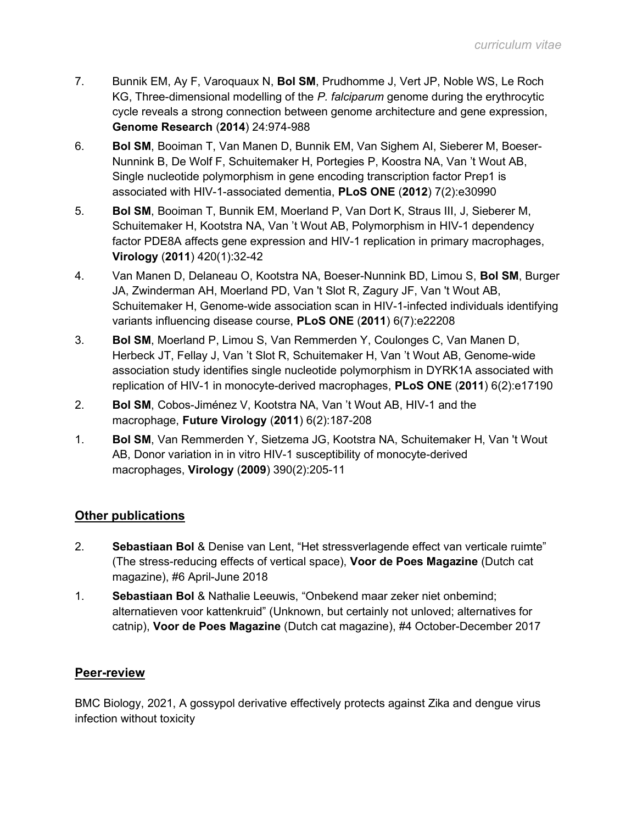- 7. Bunnik EM, Ay F, Varoquaux N, Bol SM, Prudhomme J, Vert JP, Noble WS, Le Roch KG, Three-dimensional modelling of the P. falciparum genome during the erythrocytic cycle reveals a strong connection between genome architecture and gene expression, Genome Research (2014) 24:974-988
- 6. Bol SM, Booiman T, Van Manen D, Bunnik EM, Van Sighem AI, Sieberer M, Boeser-Nunnink B, De Wolf F, Schuitemaker H, Portegies P, Koostra NA, Van 't Wout AB, Single nucleotide polymorphism in gene encoding transcription factor Prep1 is associated with HIV-1-associated dementia, PLoS ONE (2012) 7(2):e30990
- 5. Bol SM, Booiman T, Bunnik EM, Moerland P, Van Dort K, Straus III, J, Sieberer M, Schuitemaker H, Kootstra NA, Van 't Wout AB, Polymorphism in HIV-1 dependency factor PDE8A affects gene expression and HIV-1 replication in primary macrophages, Virology (2011) 420(1):32-42
- 4. Van Manen D, Delaneau O, Kootstra NA, Boeser-Nunnink BD, Limou S, Bol SM, Burger JA, Zwinderman AH, Moerland PD, Van 't Slot R, Zagury JF, Van 't Wout AB, Schuitemaker H, Genome-wide association scan in HIV-1-infected individuals identifying variants influencing disease course, PLoS ONE (2011) 6(7):e22208
- 3. Bol SM, Moerland P, Limou S, Van Remmerden Y, Coulonges C, Van Manen D, Herbeck JT, Fellay J, Van 't Slot R, Schuitemaker H, Van 't Wout AB, Genome-wide association study identifies single nucleotide polymorphism in DYRK1A associated with replication of HIV-1 in monocyte-derived macrophages, PLoS ONE (2011) 6(2):e17190
- 2. Bol SM, Cobos-Jiménez V, Kootstra NA, Van 't Wout AB, HIV-1 and the macrophage, Future Virology (2011) 6(2):187-208
- 1. Bol SM, Van Remmerden Y, Sietzema JG, Kootstra NA, Schuitemaker H, Van 't Wout AB, Donor variation in in vitro HIV-1 susceptibility of monocyte-derived macrophages, Virology (2009) 390(2):205-11

## Other publications

- 2. Sebastiaan Bol & Denise van Lent, "Het stressverlagende effect van verticale ruimte" (The stress-reducing effects of vertical space), Voor de Poes Magazine (Dutch cat magazine), #6 April-June 2018
- 1. Sebastiaan Bol & Nathalie Leeuwis, "Onbekend maar zeker niet onbemind; alternatieven voor kattenkruid" (Unknown, but certainly not unloved; alternatives for catnip), Voor de Poes Magazine (Dutch cat magazine), #4 October-December 2017

## Peer-review

BMC Biology, 2021, A gossypol derivative effectively protects against Zika and dengue virus infection without toxicity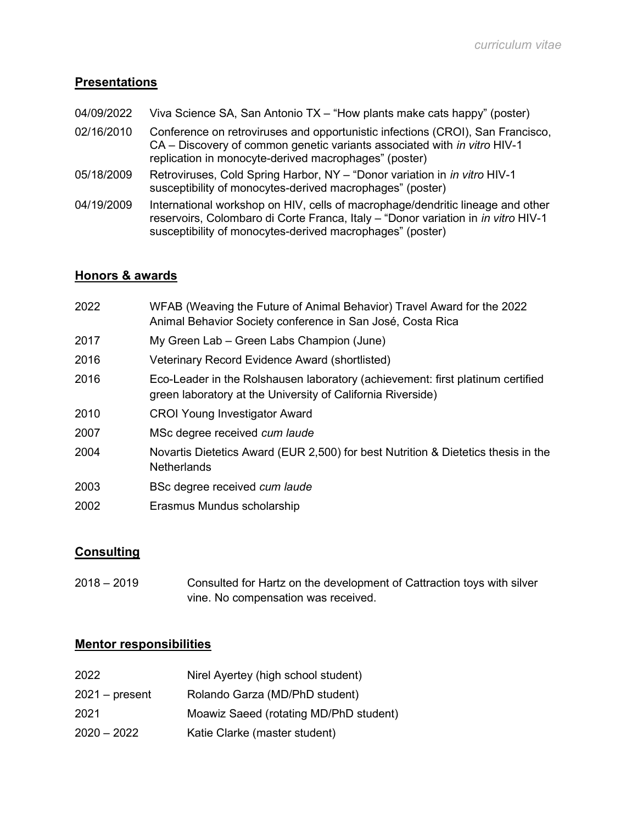#### **Presentations**

- 04/09/2022 Viva Science SA, San Antonio TX "How plants make cats happy" (poster)
- 02/16/2010 Conference on retroviruses and opportunistic infections (CROI), San Francisco, CA – Discovery of common genetic variants associated with in vitro HIV-1 replication in monocyte-derived macrophages" (poster)
- 05/18/2009 Retroviruses, Cold Spring Harbor, NY "Donor variation in *in vitro* HIV-1 susceptibility of monocytes-derived macrophages" (poster)
- 04/19/2009 International workshop on HIV, cells of macrophage/dendritic lineage and other reservoirs, Colombaro di Corte Franca, Italy – "Donor variation in in vitro HIV-1 susceptibility of monocytes-derived macrophages" (poster)

#### Honors & awards

| 2022 | WFAB (Weaving the Future of Animal Behavior) Travel Award for the 2022<br>Animal Behavior Society conference in San José, Costa Rica          |
|------|-----------------------------------------------------------------------------------------------------------------------------------------------|
| 2017 | My Green Lab – Green Labs Champion (June)                                                                                                     |
| 2016 | Veterinary Record Evidence Award (shortlisted)                                                                                                |
| 2016 | Eco-Leader in the Rolshausen laboratory (achievement: first platinum certified<br>green laboratory at the University of California Riverside) |
| 2010 | <b>CROI Young Investigator Award</b>                                                                                                          |
| 2007 | MSc degree received cum laude                                                                                                                 |
| 2004 | Novartis Dietetics Award (EUR 2,500) for best Nutrition & Dietetics thesis in the<br><b>Netherlands</b>                                       |
| 2003 | BSc degree received cum laude                                                                                                                 |
| 2002 | Erasmus Mundus scholarship                                                                                                                    |

## **Consulting**

2018 – 2019 Consulted for Hartz on the development of Cattraction toys with silver vine. No compensation was received.

#### Mentor responsibilities

| 2022.          | Nirel Ayertey (high school student)    |
|----------------|----------------------------------------|
| 2021 – present | Rolando Garza (MD/PhD student)         |
| 2021           | Moawiz Saeed (rotating MD/PhD student) |
| 2020 – 2022    | Katie Clarke (master student)          |